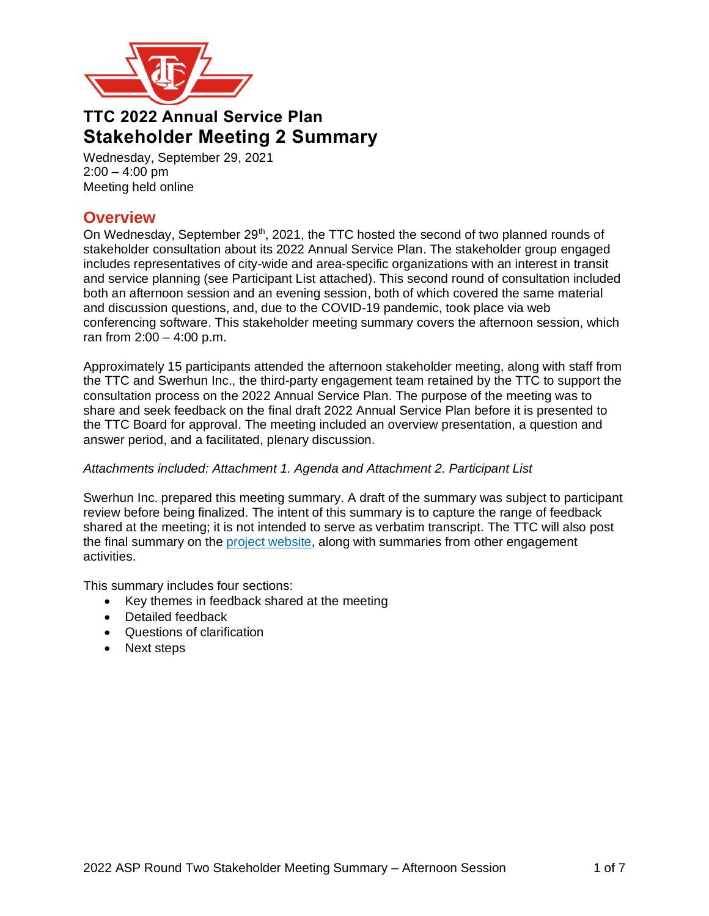

# **TTC 2022 Annual Service Plan Stakeholder Meeting 2 Summary**

Wednesday, September 29, 2021  $2:00 - 4:00$  pm Meeting held online

# **Overview**

On Wednesday, September  $29<sup>th</sup>$ , 2021, the TTC hosted the second of two planned rounds of stakeholder consultation about its 2022 Annual Service Plan. The stakeholder group engaged includes representatives of city-wide and area-specific organizations with an interest in transit and service planning (see Participant List attached). This second round of consultation included both an afternoon session and an evening session, both of which covered the same material and discussion questions, and, due to the COVID-19 pandemic, took place via web conferencing software. This stakeholder meeting summary covers the afternoon session, which ran from 2:00 – 4:00 p.m.

Approximately 15 participants attended the afternoon stakeholder meeting, along with staff from the TTC and Swerhun Inc., the third-party engagement team retained by the TTC to support the consultation process on the 2022 Annual Service Plan. The purpose of the meeting was to share and seek feedback on the final draft 2022 Annual Service Plan before it is presented to the TTC Board for approval. The meeting included an overview presentation, a question and answer period, and a facilitated, plenary discussion.

### *Attachments included: Attachment 1. Agenda and Attachment 2. Participant List*

Swerhun Inc. prepared this meeting summary. A draft of the summary was subject to participant review before being finalized. The intent of this summary is to capture the range of feedback shared at the meeting; it is not intended to serve as verbatim transcript. The TTC will also post the final summary on the [project website,](https://www.ttc.ca/about-the-ttc/projects-and-plans/2022-Annual-Service-Plan) along with summaries from other engagement activities.

This summary includes four sections:

- Key themes in feedback shared at the meeting
- Detailed feedback
- Questions of clarification
- Next steps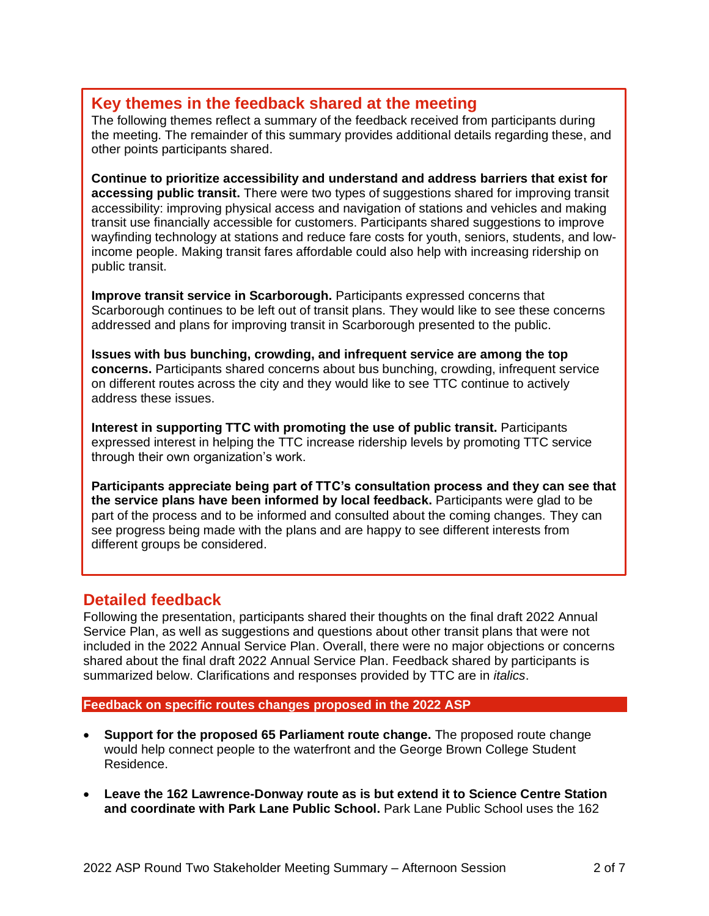### **Key themes in the feedback shared at the meeting**

The following themes reflect a summary of the feedback received from participants during the meeting. The remainder of this summary provides additional details regarding these, and other points participants shared.

**Continue to prioritize accessibility and understand and address barriers that exist for accessing public transit.** There were two types of suggestions shared for improving transit accessibility: improving physical access and navigation of stations and vehicles and making transit use financially accessible for customers. Participants shared suggestions to improve wayfinding technology at stations and reduce fare costs for youth, seniors, students, and lowincome people. Making transit fares affordable could also help with increasing ridership on public transit.

**Improve transit service in Scarborough.** Participants expressed concerns that Scarborough continues to be left out of transit plans. They would like to see these concerns addressed and plans for improving transit in Scarborough presented to the public.

**Issues with bus bunching, crowding, and infrequent service are among the top concerns.** Participants shared concerns about bus bunching, crowding, infrequent service on different routes across the city and they would like to see TTC continue to actively address these issues.

**Interest in supporting TTC with promoting the use of public transit.** Participants expressed interest in helping the TTC increase ridership levels by promoting TTC service through their own organization's work.

**Participants appreciate being part of TTC's consultation process and they can see that the service plans have been informed by local feedback.** Participants were glad to be part of the process and to be informed and consulted about the coming changes. They can see progress being made with the plans and are happy to see different interests from different groups be considered.

# **Detailed feedback**

Following the presentation, participants shared their thoughts on the final draft 2022 Annual Service Plan, as well as suggestions and questions about other transit plans that were not included in the 2022 Annual Service Plan. Overall, there were no major objections or concerns shared about the final draft 2022 Annual Service Plan. Feedback shared by participants is summarized below. Clarifications and responses provided by TTC are in *italics*.

**Feedback on specific routes changes proposed in the 2022 ASP**

- **Support for the proposed 65 Parliament route change.** The proposed route change would help connect people to the waterfront and the George Brown College Student Residence.
- **Leave the 162 Lawrence-Donway route as is but extend it to Science Centre Station and coordinate with Park Lane Public School.** Park Lane Public School uses the 162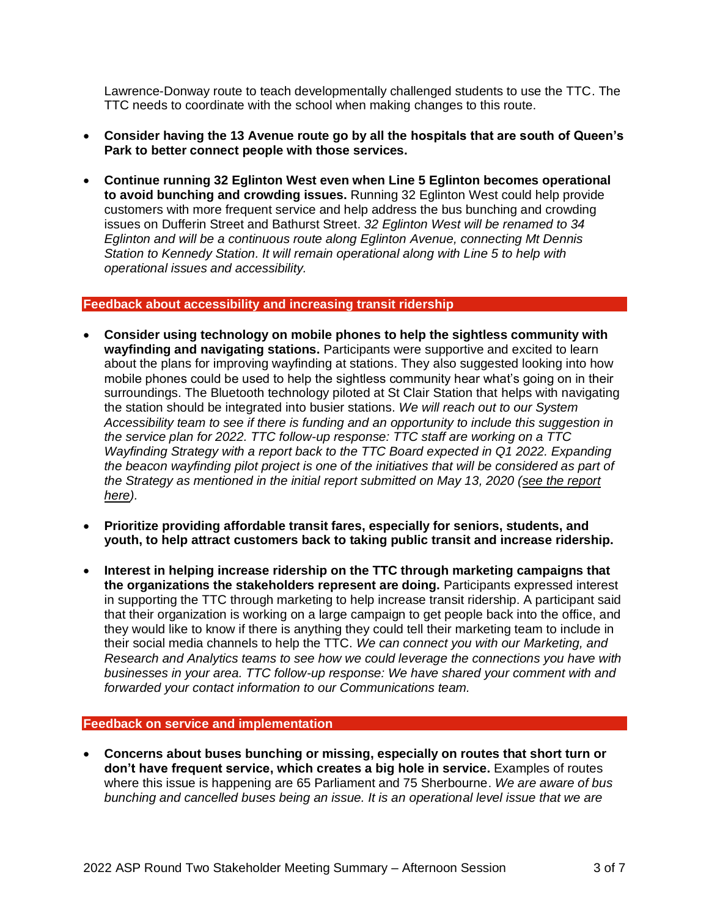Lawrence-Donway route to teach developmentally challenged students to use the TTC. The TTC needs to coordinate with the school when making changes to this route.

- **Consider having the 13 Avenue route go by all the hospitals that are south of Queen's Park to better connect people with those services.**
- **Continue running 32 Eglinton West even when Line 5 Eglinton becomes operational to avoid bunching and crowding issues.** Running 32 Eglinton West could help provide customers with more frequent service and help address the bus bunching and crowding issues on Dufferin Street and Bathurst Street. *32 Eglinton West will be renamed to 34 Eglinton and will be a continuous route along Eglinton Avenue, connecting Mt Dennis Station to Kennedy Station. It will remain operational along with Line 5 to help with operational issues and accessibility.*

#### **Feedback about accessibility and increasing transit ridership**

- **Consider using technology on mobile phones to help the sightless community with wayfinding and navigating stations.** Participants were supportive and excited to learn about the plans for improving wayfinding at stations. They also suggested looking into how mobile phones could be used to help the sightless community hear what's going on in their surroundings. The Bluetooth technology piloted at St Clair Station that helps with navigating the station should be integrated into busier stations. *We will reach out to our System Accessibility team to see if there is funding and an opportunity to include this suggestion in the service plan for 2022. TTC follow-up response: TTC staff are working on a TTC Wayfinding Strategy with a report back to the TTC Board expected in Q1 2022. Expanding the beacon wayfinding pilot project is one of the initiatives that will be considered as part of the Strategy as mentioned in the initial report submitted on May 13, 2020 [\(see the report](https://ttc-cdn.azureedge.net/-/media/Project/TTC/DevProto/Documents/Home/Public-Meetings/Board/2020/May_13/Reports/12_TTC_Wayfinding_Strategy.pdf?rev=c26daaaee97e49148844fb34e0138ae4&hash=EEF12E6FE7F76E5965D307C2F9787DBB)  [here\)](https://ttc-cdn.azureedge.net/-/media/Project/TTC/DevProto/Documents/Home/Public-Meetings/Board/2020/May_13/Reports/12_TTC_Wayfinding_Strategy.pdf?rev=c26daaaee97e49148844fb34e0138ae4&hash=EEF12E6FE7F76E5965D307C2F9787DBB).*
- **Prioritize providing affordable transit fares, especially for seniors, students, and youth, to help attract customers back to taking public transit and increase ridership.**
- **Interest in helping increase ridership on the TTC through marketing campaigns that the organizations the stakeholders represent are doing.** Participants expressed interest in supporting the TTC through marketing to help increase transit ridership. A participant said that their organization is working on a large campaign to get people back into the office, and they would like to know if there is anything they could tell their marketing team to include in their social media channels to help the TTC. *We can connect you with our Marketing, and Research and Analytics teams to see how we could leverage the connections you have with businesses in your area. TTC follow-up response: We have shared your comment with and forwarded your contact information to our Communications team.*

#### **Feedback on service and implementation**

• **Concerns about buses bunching or missing, especially on routes that short turn or don't have frequent service, which creates a big hole in service.** Examples of routes where this issue is happening are 65 Parliament and 75 Sherbourne. *We are aware of bus bunching and cancelled buses being an issue. It is an operational level issue that we are*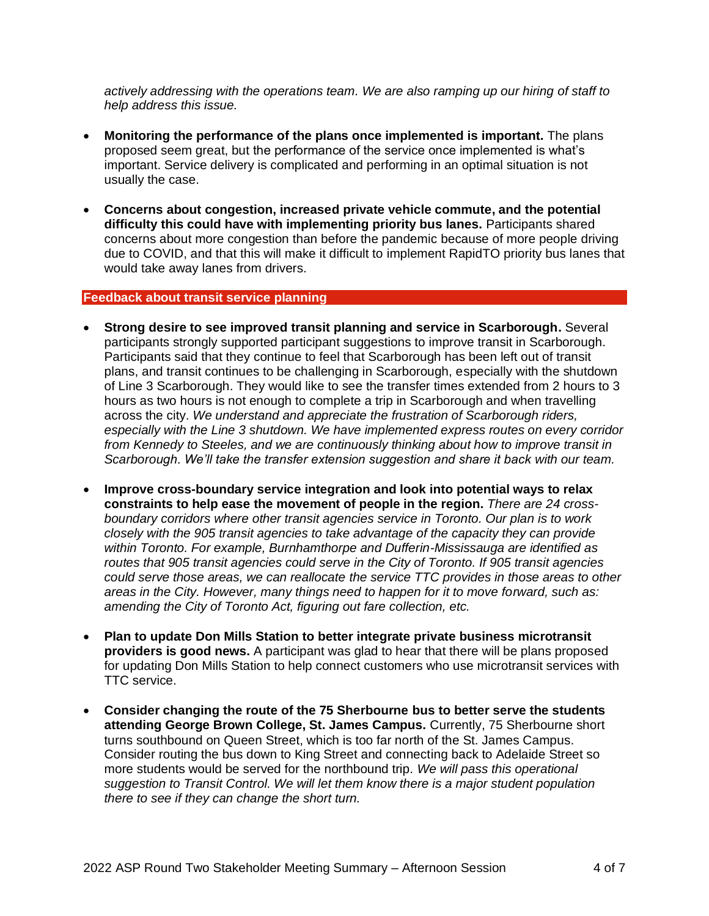*actively addressing with the operations team. We are also ramping up our hiring of staff to help address this issue.*

- **Monitoring the performance of the plans once implemented is important.** The plans proposed seem great, but the performance of the service once implemented is what's important. Service delivery is complicated and performing in an optimal situation is not usually the case.
- **Concerns about congestion, increased private vehicle commute, and the potential difficulty this could have with implementing priority bus lanes.** Participants shared concerns about more congestion than before the pandemic because of more people driving due to COVID, and that this will make it difficult to implement RapidTO priority bus lanes that would take away lanes from drivers.

#### **Feedback about transit service planning**

- **Strong desire to see improved transit planning and service in Scarborough.** Several participants strongly supported participant suggestions to improve transit in Scarborough. Participants said that they continue to feel that Scarborough has been left out of transit plans, and transit continues to be challenging in Scarborough, especially with the shutdown of Line 3 Scarborough. They would like to see the transfer times extended from 2 hours to 3 hours as two hours is not enough to complete a trip in Scarborough and when travelling across the city. *We understand and appreciate the frustration of Scarborough riders, especially with the Line 3 shutdown. We have implemented express routes on every corridor from Kennedy to Steeles, and we are continuously thinking about how to improve transit in Scarborough. We'll take the transfer extension suggestion and share it back with our team.*
- **Improve cross-boundary service integration and look into potential ways to relax constraints to help ease the movement of people in the region.** *There are 24 crossboundary corridors where other transit agencies service in Toronto. Our plan is to work closely with the 905 transit agencies to take advantage of the capacity they can provide within Toronto. For example, Burnhamthorpe and Dufferin-Mississauga are identified as routes that 905 transit agencies could serve in the City of Toronto. If 905 transit agencies could serve those areas, we can reallocate the service TTC provides in those areas to other areas in the City. However, many things need to happen for it to move forward, such as: amending the City of Toronto Act, figuring out fare collection, etc.*
- **Plan to update Don Mills Station to better integrate private business microtransit providers is good news.** A participant was glad to hear that there will be plans proposed for updating Don Mills Station to help connect customers who use microtransit services with TTC service.
- **Consider changing the route of the 75 Sherbourne bus to better serve the students attending George Brown College, St. James Campus.** Currently, 75 Sherbourne short turns southbound on Queen Street, which is too far north of the St. James Campus. Consider routing the bus down to King Street and connecting back to Adelaide Street so more students would be served for the northbound trip. *We will pass this operational suggestion to Transit Control. We will let them know there is a major student population there to see if they can change the short turn.*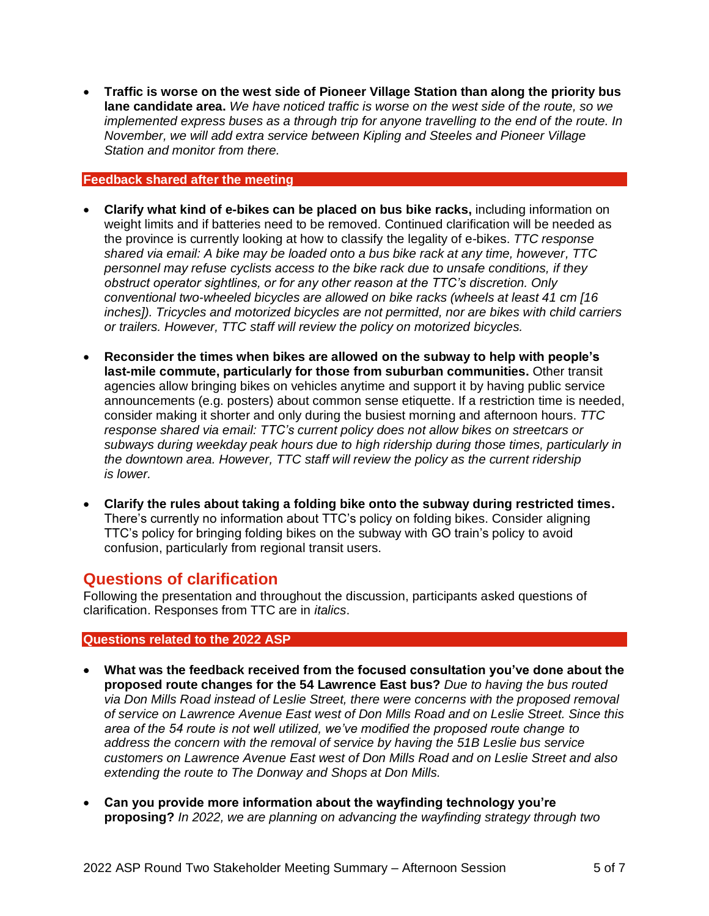• **Traffic is worse on the west side of Pioneer Village Station than along the priority bus lane candidate area.** *We have noticed traffic is worse on the west side of the route, so we implemented express buses as a through trip for anyone travelling to the end of the route. In November, we will add extra service between Kipling and Steeles and Pioneer Village Station and monitor from there.* 

#### **Feedback shared after the meeting**

- **Clarify what kind of e-bikes can be placed on bus bike racks,** including information on weight limits and if batteries need to be removed. Continued clarification will be needed as the province is currently looking at how to classify the legality of e-bikes. *TTC response shared via email: A bike may be loaded onto a bus bike rack at any time, however, TTC personnel may refuse cyclists access to the bike rack due to unsafe conditions, if they obstruct operator sightlines, or for any other reason at the TTC's discretion. Only conventional two-wheeled bicycles are allowed on bike racks (wheels at least 41 cm [16 inches]). Tricycles and motorized bicycles are not permitted, nor are bikes with child carriers or trailers. However, TTC staff will review the policy on motorized bicycles.*
- **Reconsider the times when bikes are allowed on the subway to help with people's last-mile commute, particularly for those from suburban communities.** Other transit agencies allow bringing bikes on vehicles anytime and support it by having public service announcements (e.g. posters) about common sense etiquette. If a restriction time is needed, consider making it shorter and only during the busiest morning and afternoon hours. *TTC response shared via email: TTC's current policy does not allow bikes on streetcars or subways during weekday peak hours due to high ridership during those times, particularly in the downtown area. However, TTC staff will review the policy as the current ridership is lower.*
- **Clarify the rules about taking a folding bike onto the subway during restricted times.**  There's currently no information about TTC's policy on folding bikes. Consider aligning TTC's policy for bringing folding bikes on the subway with GO train's policy to avoid confusion, particularly from regional transit users.

### **Questions of clarification**

Following the presentation and throughout the discussion, participants asked questions of clarification. Responses from TTC are in *italics*.

#### **Questions related to the 2022 ASP**

- **What was the feedback received from the focused consultation you've done about the proposed route changes for the 54 Lawrence East bus?** *Due to having the bus routed via Don Mills Road instead of Leslie Street, there were concerns with the proposed removal of service on Lawrence Avenue East west of Don Mills Road and on Leslie Street. Since this area of the 54 route is not well utilized, we've modified the proposed route change to address the concern with the removal of service by having the 51B Leslie bus service customers on Lawrence Avenue East west of Don Mills Road and on Leslie Street and also extending the route to The Donway and Shops at Don Mills.*
- **Can you provide more information about the wayfinding technology you're proposing?** *In 2022, we are planning on advancing the wayfinding strategy through two*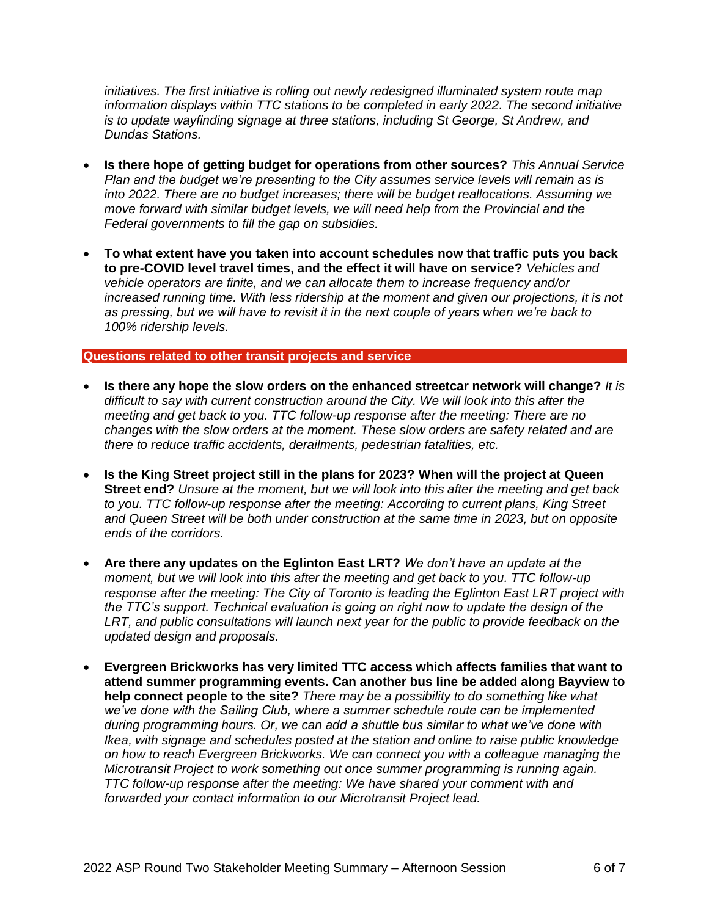*initiatives. The first initiative is rolling out newly redesigned illuminated system route map information displays within TTC stations to be completed in early 2022. The second initiative is to update wayfinding signage at three stations, including St George, St Andrew, and Dundas Stations.* 

- **Is there hope of getting budget for operations from other sources?** *This Annual Service Plan and the budget we're presenting to the City assumes service levels will remain as is into 2022. There are no budget increases; there will be budget reallocations. Assuming we move forward with similar budget levels, we will need help from the Provincial and the Federal governments to fill the gap on subsidies.*
- **To what extent have you taken into account schedules now that traffic puts you back to pre-COVID level travel times, and the effect it will have on service?** *Vehicles and vehicle operators are finite, and we can allocate them to increase frequency and/or*  increased running time. With less ridership at the moment and given our projections, it is not *as pressing, but we will have to revisit it in the next couple of years when we're back to 100% ridership levels.*

#### **Questions related to other transit projects and service**

- **Is there any hope the slow orders on the enhanced streetcar network will change?** *It is difficult to say with current construction around the City. We will look into this after the meeting and get back to you. TTC follow-up response after the meeting: There are no changes with the slow orders at the moment. These slow orders are safety related and are there to reduce traffic accidents, derailments, pedestrian fatalities, etc.*
- **Is the King Street project still in the plans for 2023? When will the project at Queen Street end?** *Unsure at the moment, but we will look into this after the meeting and get back to you. TTC follow-up response after the meeting: According to current plans, King Street and Queen Street will be both under construction at the same time in 2023, but on opposite ends of the corridors.*
- **Are there any updates on the Eglinton East LRT?** *We don't have an update at the moment, but we will look into this after the meeting and get back to you. TTC follow-up response after the meeting: The City of Toronto is leading the Eglinton East LRT project with the TTC's support. Technical evaluation is going on right now to update the design of the LRT, and public consultations will launch next year for the public to provide feedback on the updated design and proposals.*
- **Evergreen Brickworks has very limited TTC access which affects families that want to attend summer programming events. Can another bus line be added along Bayview to help connect people to the site?** *There may be a possibility to do something like what we've done with the Sailing Club, where a summer schedule route can be implemented during programming hours. Or, we can add a shuttle bus similar to what we've done with Ikea, with signage and schedules posted at the station and online to raise public knowledge on how to reach Evergreen Brickworks. We can connect you with a colleague managing the Microtransit Project to work something out once summer programming is running again. TTC follow-up response after the meeting: We have shared your comment with and forwarded your contact information to our Microtransit Project lead.*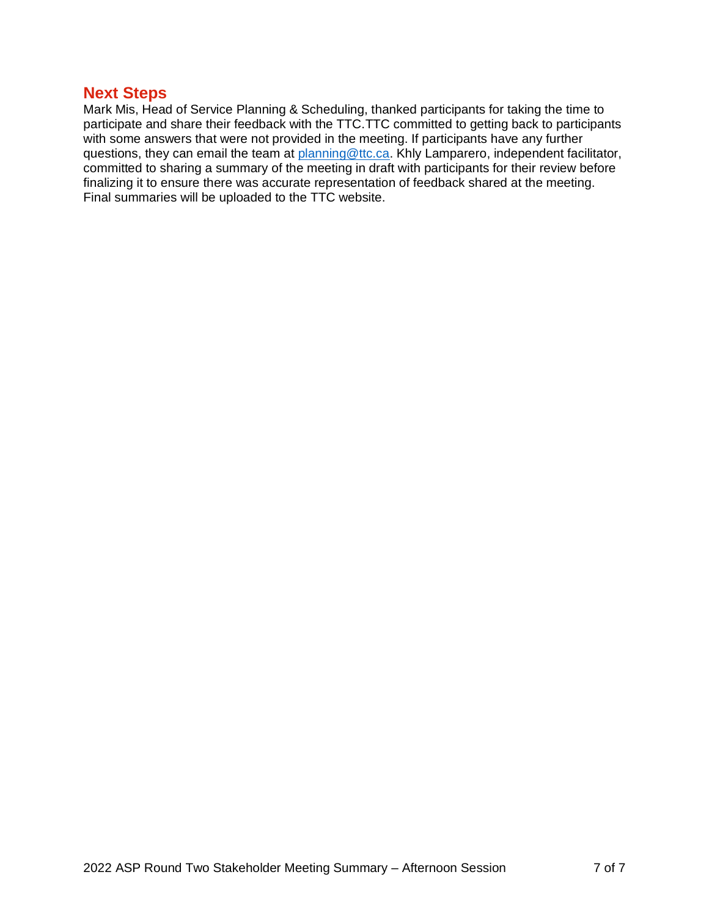### **Next Steps**

Mark Mis, Head of Service Planning & Scheduling, thanked participants for taking the time to participate and share their feedback with the TTC.TTC committed to getting back to participants with some answers that were not provided in the meeting. If participants have any further questions, they can email the team at [planning@ttc.ca.](mailto:planning@ttc.ca) Khly Lamparero, independent facilitator, committed to sharing a summary of the meeting in draft with participants for their review before finalizing it to ensure there was accurate representation of feedback shared at the meeting. Final summaries will be uploaded to the TTC website.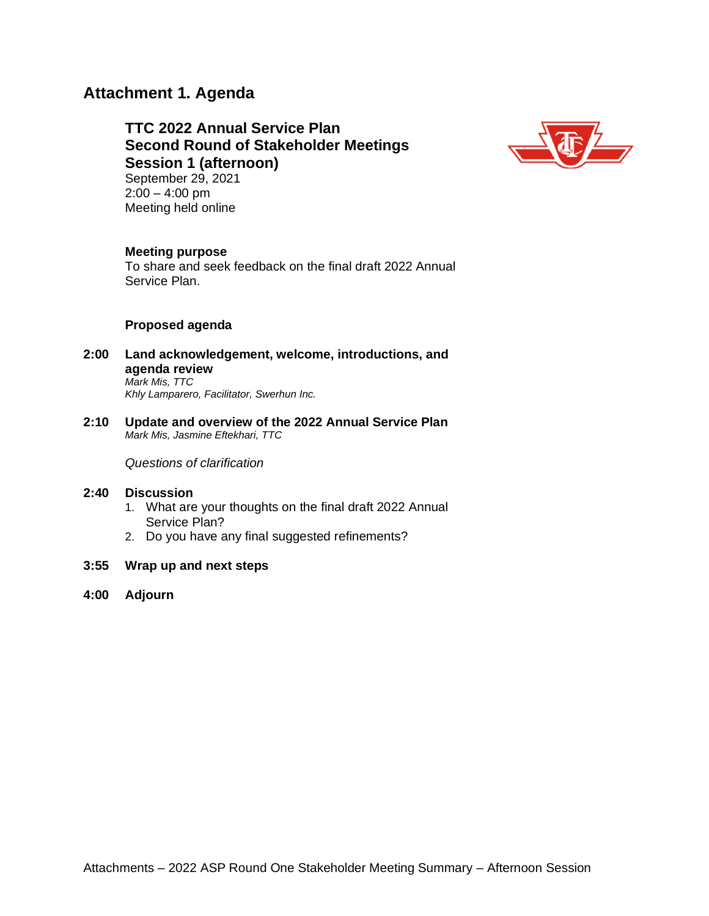# **Attachment 1. Agenda**

### **TTC 2022 Annual Service Plan Second Round of Stakeholder Meetings Session 1 (afternoon)** September 29, 2021



 $2:00 - 4:00$  pm Meeting held online

#### **Meeting purpose**

To share and seek feedback on the final draft 2022 Annual Service Plan.

#### **Proposed agenda**

- **2:00 Land acknowledgement, welcome, introductions, and agenda review** *Mark Mis, TTC Khly Lamparero, Facilitator, Swerhun Inc.*
- **2:10 Update and overview of the 2022 Annual Service Plan** *Mark Mis, Jasmine Eftekhari, TTC*

*Questions of clarification*

#### **2:40 Discussion**

- 1. What are your thoughts on the final draft 2022 Annual Service Plan?
- 2. Do you have any final suggested refinements?
- **3:55 Wrap up and next steps**
- **4:00 Adjourn**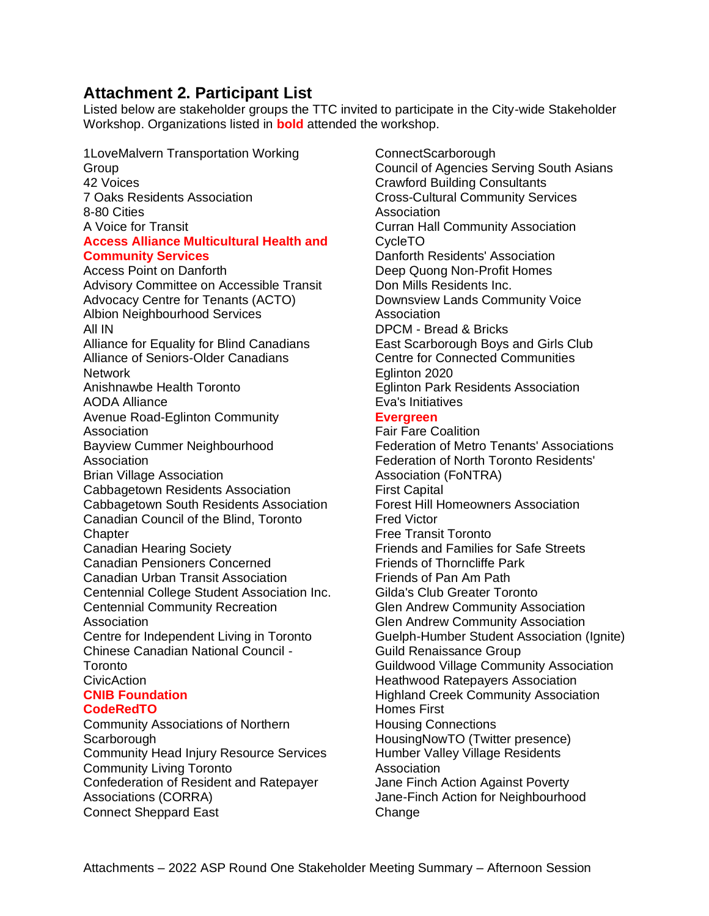# **Attachment 2. Participant List**

Listed below are stakeholder groups the TTC invited to participate in the City-wide Stakeholder Workshop. Organizations listed in **bold** attended the workshop.

1LoveMalvern Transportation Working Group 42 Voices 7 Oaks Residents Association 8-80 Cities A Voice for Transit **Access Alliance Multicultural Health and Community Services** Access Point on Danforth Advisory Committee on Accessible Transit Advocacy Centre for Tenants (ACTO) Albion Neighbourhood Services All IN Alliance for Equality for Blind Canadians Alliance of Seniors-Older Canadians Network Anishnawbe Health Toronto AODA Alliance Avenue Road-Eglinton Community Association Bayview Cummer Neighbourhood Association Brian Village Association Cabbagetown Residents Association Cabbagetown South Residents Association Canadian Council of the Blind, Toronto **Chapter** Canadian Hearing Society Canadian Pensioners Concerned Canadian Urban Transit Association Centennial College Student Association Inc. Centennial Community Recreation **Association** Centre for Independent Living in Toronto Chinese Canadian National Council - Toronto **CivicAction CNIB Foundation CodeRedTO** Community Associations of Northern

**Scarborough** Community Head Injury Resource Services Community Living Toronto Confederation of Resident and Ratepayer Associations (CORRA) Connect Sheppard East

ConnectScarborough Council of Agencies Serving South Asians Crawford Building Consultants Cross-Cultural Community Services Association Curran Hall Community Association CycleTO Danforth Residents' Association Deep Quong Non-Profit Homes Don Mills Residents Inc. Downsview Lands Community Voice Association DPCM - Bread & Bricks East Scarborough Boys and Girls Club Centre for Connected Communities Eglinton 2020 Eglinton Park Residents Association Eva's Initiatives

### **Evergreen**

Fair Fare Coalition Federation of Metro Tenants' Associations Federation of North Toronto Residents' Association (FoNTRA) First Capital Forest Hill Homeowners Association Fred Victor Free Transit Toronto Friends and Families for Safe Streets Friends of Thorncliffe Park Friends of Pan Am Path Gilda's Club Greater Toronto Glen Andrew Community Association Glen Andrew Community Association Guelph-Humber Student Association (Ignite) Guild Renaissance Group Guildwood Village Community Association Heathwood Ratepayers Association Highland Creek Community Association Homes First Housing Connections HousingNowTO (Twitter presence) Humber Valley Village Residents **Association** Jane Finch Action Against Poverty Jane-Finch Action for Neighbourhood **Change**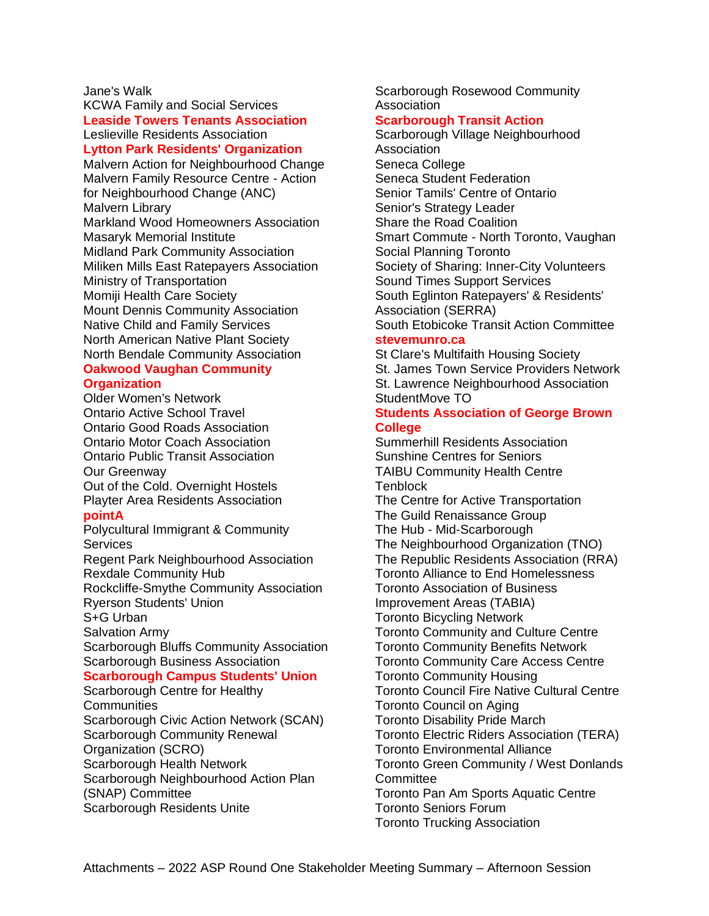#### Jane's Walk

KCWA Family and Social Services **Leaside Towers Tenants Association** Leslieville Residents Association

### **Lytton Park Residents' Organization**

Malvern Action for Neighbourhood Change Malvern Family Resource Centre - Action for Neighbourhood Change (ANC) Malvern Library Markland Wood Homeowners Association Masaryk Memorial Institute Midland Park Community Association Miliken Mills East Ratepayers Association Ministry of Transportation Momiji Health Care Society Mount Dennis Community Association Native Child and Family Services North American Native Plant Society North Bendale Community Association

#### **Oakwood Vaughan Community Organization**

Older Women's Network Ontario Active School Travel Ontario Good Roads Association Ontario Motor Coach Association Ontario Public Transit Association Our Greenway Out of the Cold. Overnight Hostels Playter Area Residents Association

### **pointA**

Polycultural Immigrant & Community **Services** 

Regent Park Neighbourhood Association Rexdale Community Hub

Rockcliffe-Smythe Community Association Ryerson Students' Union

S+G Urban

Salvation Army

Scarborough Bluffs Community Association Scarborough Business Association

#### **Scarborough Campus Students' Union**

Scarborough Centre for Healthy **Communities** Scarborough Civic Action Network (SCAN) Scarborough Community Renewal Organization (SCRO) Scarborough Health Network Scarborough Neighbourhood Action Plan (SNAP) Committee Scarborough Residents Unite

Scarborough Rosewood Community Association

#### **Scarborough Transit Action**

Scarborough Village Neighbourhood Association Seneca College Seneca Student Federation Senior Tamils' Centre of Ontario Senior's Strategy Leader Share the Road Coalition Smart Commute - North Toronto, Vaughan Social Planning Toronto Society of Sharing: Inner-City Volunteers Sound Times Support Services South Eglinton Ratepayers' & Residents' Association (SERRA) South Etobicoke Transit Action Committee

# **stevemunro.ca**

St Clare's Multifaith Housing Society St. James Town Service Providers Network St. Lawrence Neighbourhood Association StudentMove TO

#### **Students Association of George Brown College**

Summerhill Residents Association Sunshine Centres for Seniors TAIBU Community Health Centre **Tenblock** The Centre for Active Transportation The Guild Renaissance Group The Hub - Mid-Scarborough The Neighbourhood Organization (TNO) The Republic Residents Association (RRA) Toronto Alliance to End Homelessness Toronto Association of Business Improvement Areas (TABIA) Toronto Bicycling Network Toronto Community and Culture Centre Toronto Community Benefits Network Toronto Community Care Access Centre Toronto Community Housing Toronto Council Fire Native Cultural Centre Toronto Council on Aging Toronto Disability Pride March Toronto Electric Riders Association (TERA) Toronto Environmental Alliance Toronto Green Community / West Donlands **Committee** Toronto Pan Am Sports Aquatic Centre Toronto Seniors Forum Toronto Trucking Association